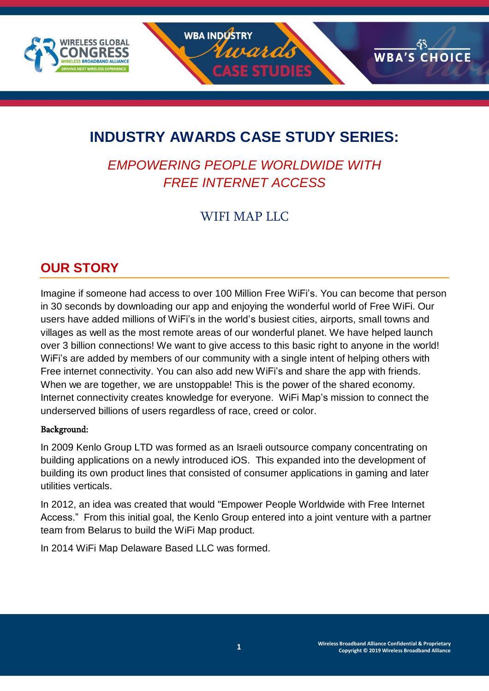

# **INDUSTRY AWARDS CASE STUDY SERIES:**

# *EMPOWERING PEOPLE WORLDWIDE WITH FREE INTERNET ACCESS*

# WIFI MAP LLC

# **OUR STORY**

Imagine if someone had access to over 100 Million Free WiFi's. You can become that person in 30 seconds by downloading our app and enjoying the wonderful world of Free WiFi. Our users have added millions of WiFi's in the world's busiest cities, airports, small towns and villages as well as the most remote areas of our wonderful planet. We have helped launch over 3 billion connections! We want to give access to this basic right to anyone in the world! WiFi's are added by members of our community with a single intent of helping others with Free internet connectivity. You can also add new WiFi's and share the app with friends. When we are together, we are unstoppable! This is the power of the shared economy. Internet connectivity creates knowledge for everyone. WiFi Map's mission to connect the underserved billions of users regardless of race, creed or color.

#### Background:

In 2009 Kenlo Group LTD was formed as an Israeli outsource company concentrating on building applications on a newly introduced iOS. This expanded into the development of building its own product lines that consisted of consumer applications in gaming and later utilities verticals.

In 2012, an idea was created that would "Empower People Worldwide with Free Internet Access." From this initial goal, the Kenlo Group entered into a joint venture with a partner team from Belarus to build the WiFi Map product.

In 2014 WiFi Map Delaware Based LLC was formed.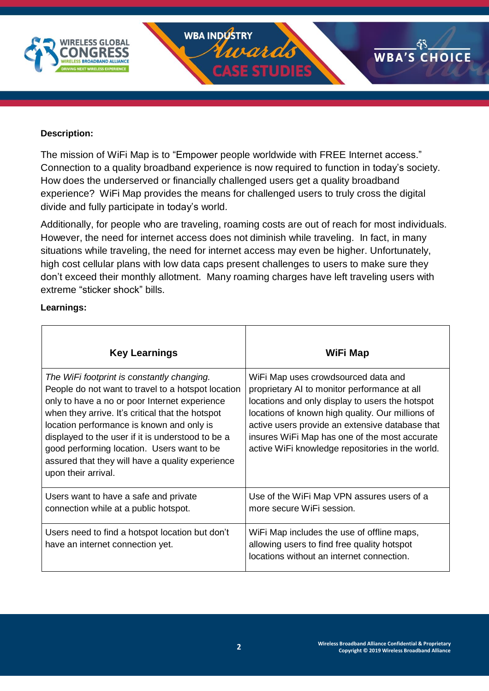

#### **Description:**

The mission of WiFi Map is to "Empower people worldwide with FREE Internet access." Connection to a quality broadband experience is now required to function in today's society. How does the underserved or financially challenged users get a quality broadband experience? WiFi Map provides the means for challenged users to truly cross the digital divide and fully participate in today's world.

Additionally, for people who are traveling, roaming costs are out of reach for most individuals. However, the need for internet access does not diminish while traveling. In fact, in many situations while traveling, the need for internet access may even be higher. Unfortunately, high cost cellular plans with low data caps present challenges to users to make sure they don't exceed their monthly allotment. Many roaming charges have left traveling users with extreme "sticker shock" bills.

#### **Learnings:**

| <b>Key Learnings</b>                                                                                                                                                                                                                                                                                                                                                                                                             | WiFi Map                                                                                                                                                                                                                                                                                                                                           |
|----------------------------------------------------------------------------------------------------------------------------------------------------------------------------------------------------------------------------------------------------------------------------------------------------------------------------------------------------------------------------------------------------------------------------------|----------------------------------------------------------------------------------------------------------------------------------------------------------------------------------------------------------------------------------------------------------------------------------------------------------------------------------------------------|
| The WiFi footprint is constantly changing.<br>People do not want to travel to a hotspot location<br>only to have a no or poor Internet experience<br>when they arrive. It's critical that the hotspot<br>location performance is known and only is<br>displayed to the user if it is understood to be a<br>good performing location. Users want to be<br>assured that they will have a quality experience<br>upon their arrival. | WiFi Map uses crowdsourced data and<br>proprietary AI to monitor performance at all<br>locations and only display to users the hotspot<br>locations of known high quality. Our millions of<br>active users provide an extensive database that<br>insures WiFi Map has one of the most accurate<br>active WiFi knowledge repositories in the world. |
| Users want to have a safe and private<br>connection while at a public hotspot.                                                                                                                                                                                                                                                                                                                                                   | Use of the WiFi Map VPN assures users of a<br>more secure WiFi session.                                                                                                                                                                                                                                                                            |
| Users need to find a hotspot location but don't<br>have an internet connection yet.                                                                                                                                                                                                                                                                                                                                              | WiFi Map includes the use of offline maps,<br>allowing users to find free quality hotspot<br>locations without an internet connection.                                                                                                                                                                                                             |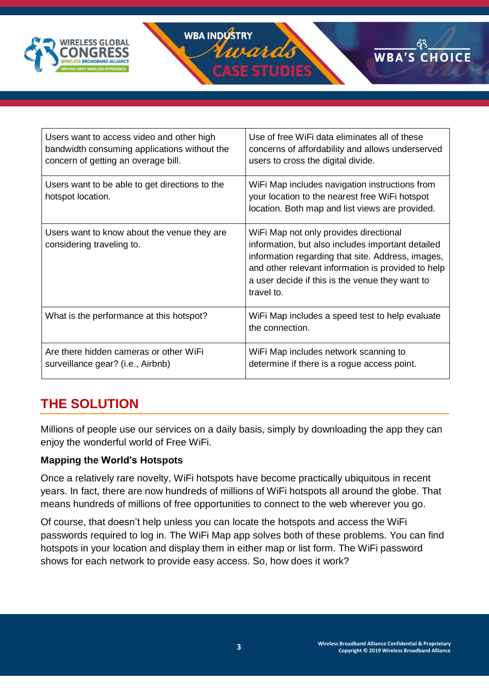



| Users want to access video and other high<br>bandwidth consuming applications without the<br>concern of getting an overage bill. | Use of free WiFi data eliminates all of these<br>concerns of affordability and allows underserved<br>users to cross the digital divide.                                                                                                                                 |
|----------------------------------------------------------------------------------------------------------------------------------|-------------------------------------------------------------------------------------------------------------------------------------------------------------------------------------------------------------------------------------------------------------------------|
| Users want to be able to get directions to the<br>hotspot location.                                                              | WiFi Map includes navigation instructions from<br>your location to the nearest free WiFi hotspot<br>location. Both map and list views are provided.                                                                                                                     |
| Users want to know about the venue they are<br>considering traveling to.                                                         | WiFi Map not only provides directional<br>information, but also includes important detailed<br>information regarding that site. Address, images,<br>and other relevant information is provided to help<br>a user decide if this is the venue they want to<br>travel to. |
| What is the performance at this hotspot?                                                                                         | WiFi Map includes a speed test to help evaluate<br>the connection.                                                                                                                                                                                                      |
| Are there hidden cameras or other WiFi<br>surveillance gear? (i.e., Airbnb)                                                      | WiFi Map includes network scanning to<br>determine if there is a rogue access point.                                                                                                                                                                                    |

# **THE SOLUTION**

Millions of people use our services on a daily basis, simply by downloading the app they can enjoy the wonderful world of Free WiFi.

### **Mapping the World's Hotspots**

Once a relatively rare novelty, WiFi hotspots have become practically ubiquitous in recent years. In fact, there are now hundreds of millions of WiFi hotspots all around the globe. That means hundreds of millions of free opportunities to connect to the web wherever you go.

Of course, that doesn't help unless you can locate the hotspots and access the WiFi passwords required to log in. The WiFi Map app solves both of these problems. You can find hotspots in your location and display them in either map or list form. The WiFi password shows for each network to provide easy access. So, how does it work?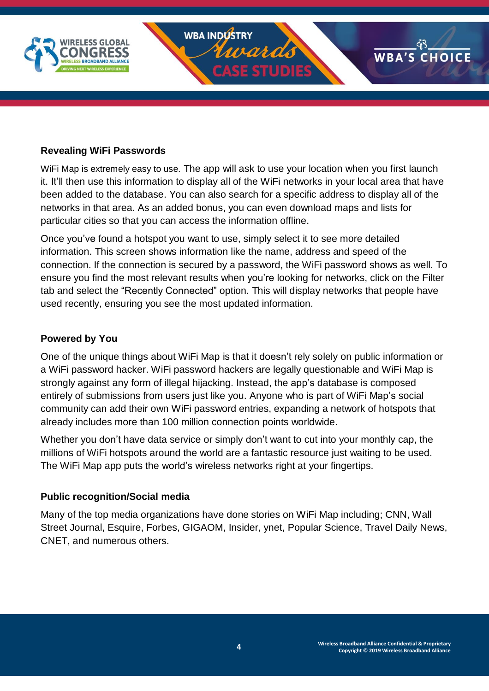

#### **Revealing WiFi Passwords**

WiFi Map is extremely easy to use. The app will ask to use your location when you first launch it. It'll then use this information to display all of the WiFi networks in your local area that have been added to the database. You can also search for a specific address to display all of the networks in that area. As an added bonus, you can even download maps and lists for particular cities so that you can access the information offline.

Once you've found a hotspot you want to use, simply select it to see more detailed information. This screen shows information like the name, address and speed of the connection. If the connection is secured by a password, the WiFi password shows as well. To ensure you find the most relevant results when you're looking for networks, click on the Filter tab and select the "Recently Connected" option. This will display networks that people have used recently, ensuring you see the most updated information.

#### **Powered by You**

One of the unique things about WiFi Map is that it doesn't rely solely on public information or a WiFi password hacker. WiFi password hackers are legally questionable and WiFi Map is strongly against any form of illegal hijacking. Instead, the app's database is composed entirely of submissions from users just like you. Anyone who is part of WiFi Map's social community can add their own WiFi password entries, expanding a network of hotspots that already includes more than 100 million connection points worldwide.

Whether you don't have data service or simply don't want to cut into your monthly cap, the millions of WiFi hotspots around the world are a fantastic resource just waiting to be used. The WiFi Map app puts the world's wireless networks right at your fingertips.

#### **Public recognition/Social media**

Many of the top media organizations have done stories on WiFi Map including; CNN, Wall Street Journal, Esquire, Forbes, GIGAOM, Insider, ynet, Popular Science, Travel Daily News, CNET, and numerous others.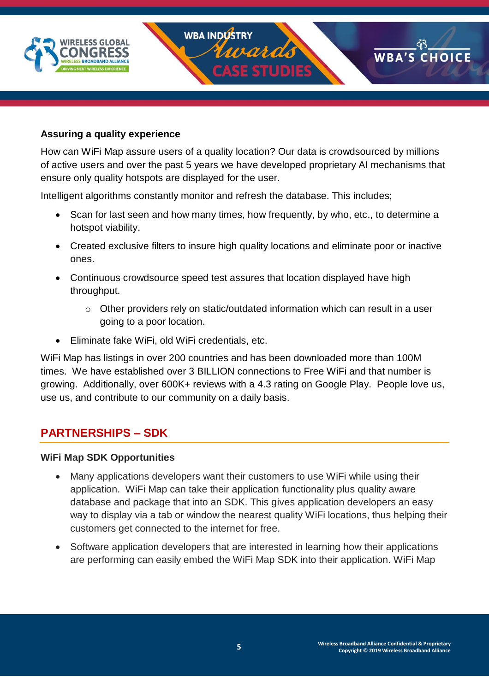

#### **Assuring a quality experience**

How can WiFi Map assure users of a quality location? Our data is crowdsourced by millions of active users and over the past 5 years we have developed proprietary AI mechanisms that ensure only quality hotspots are displayed for the user.

Intelligent algorithms constantly monitor and refresh the database. This includes;

- Scan for last seen and how many times, how frequently, by who, etc., to determine a hotspot viability.
- Created exclusive filters to insure high quality locations and eliminate poor or inactive ones.
- Continuous crowdsource speed test assures that location displayed have high throughput.
	- o Other providers rely on static/outdated information which can result in a user going to a poor location.
- Eliminate fake WiFi, old WiFi credentials, etc.

WiFi Map has listings in over 200 countries and has been downloaded more than 100M times. We have established over 3 BILLION connections to Free WiFi and that number is growing. Additionally, over 600K+ reviews with a 4.3 rating on Google Play. People love us, use us, and contribute to our community on a daily basis.

### **PARTNERSHIPS – SDK**

#### **WiFi Map SDK Opportunities**

- Many applications developers want their customers to use WiFi while using their application. WiFi Map can take their application functionality plus quality aware database and package that into an SDK. This gives application developers an easy way to display via a tab or window the nearest quality WiFi locations, thus helping their customers get connected to the internet for free.
- Software application developers that are interested in learning how their applications are performing can easily embed the WiFi Map SDK into their application. WiFi Map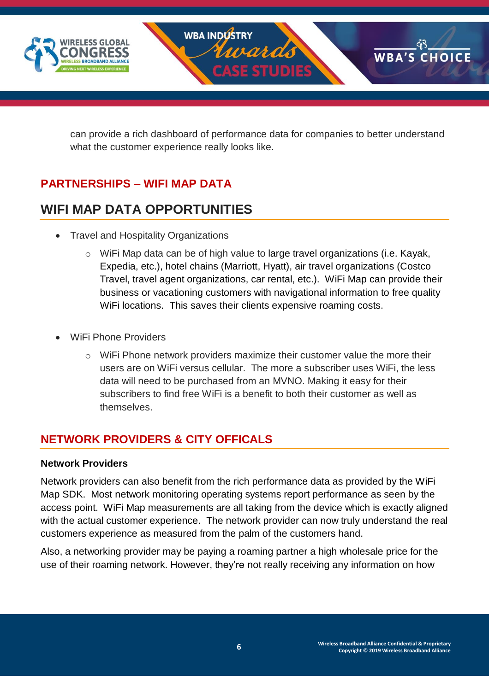

can provide a rich dashboard of performance data for companies to better understand what the customer experience really looks like.

## **PARTNERSHIPS – WIFI MAP DATA**

# **WIFI MAP DATA OPPORTUNITIES**

- Travel and Hospitality Organizations
	- o WiFi Map data can be of high value to large travel organizations (i.e. Kayak, Expedia, etc.), hotel chains (Marriott, Hyatt), air travel organizations (Costco Travel, travel agent organizations, car rental, etc.). WiFi Map can provide their business or vacationing customers with navigational information to free quality WiFi locations. This saves their clients expensive roaming costs.
- WiFi Phone Providers
	- o WiFi Phone network providers maximize their customer value the more their users are on WiFi versus cellular. The more a subscriber uses WiFi, the less data will need to be purchased from an MVNO. Making it easy for their subscribers to find free WiFi is a benefit to both their customer as well as themselves.

## **NETWORK PROVIDERS & CITY OFFICALS**

#### **Network Providers**

Network providers can also benefit from the rich performance data as provided by the WiFi Map SDK. Most network monitoring operating systems report performance as seen by the access point. WiFi Map measurements are all taking from the device which is exactly aligned with the actual customer experience. The network provider can now truly understand the real customers experience as measured from the palm of the customers hand.

Also, a networking provider may be paying a roaming partner a high wholesale price for the use of their roaming network. However, they're not really receiving any information on how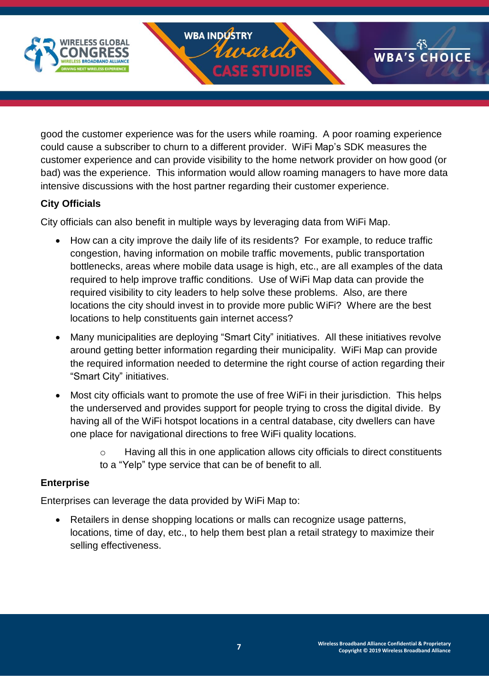

good the customer experience was for the users while roaming. A poor roaming experience could cause a subscriber to churn to a different provider. WiFi Map's SDK measures the customer experience and can provide visibility to the home network provider on how good (or bad) was the experience. This information would allow roaming managers to have more data intensive discussions with the host partner regarding their customer experience.

### **City Officials**

City officials can also benefit in multiple ways by leveraging data from WiFi Map.

- How can a city improve the daily life of its residents? For example, to reduce traffic congestion, having information on mobile traffic movements, public transportation bottlenecks, areas where mobile data usage is high, etc., are all examples of the data required to help improve traffic conditions. Use of WiFi Map data can provide the required visibility to city leaders to help solve these problems. Also, are there locations the city should invest in to provide more public WiFi? Where are the best locations to help constituents gain internet access?
- Many municipalities are deploying "Smart City" initiatives. All these initiatives revolve around getting better information regarding their municipality. WiFi Map can provide the required information needed to determine the right course of action regarding their "Smart City" initiatives.
- Most city officials want to promote the use of free WiFi in their jurisdiction. This helps the underserved and provides support for people trying to cross the digital divide. By having all of the WiFi hotspot locations in a central database, city dwellers can have one place for navigational directions to free WiFi quality locations.
	- Having all this in one application allows city officials to direct constituents to a "Yelp" type service that can be of benefit to all.

### **Enterprise**

Enterprises can leverage the data provided by WiFi Map to:

• Retailers in dense shopping locations or malls can recognize usage patterns, locations, time of day, etc., to help them best plan a retail strategy to maximize their selling effectiveness.